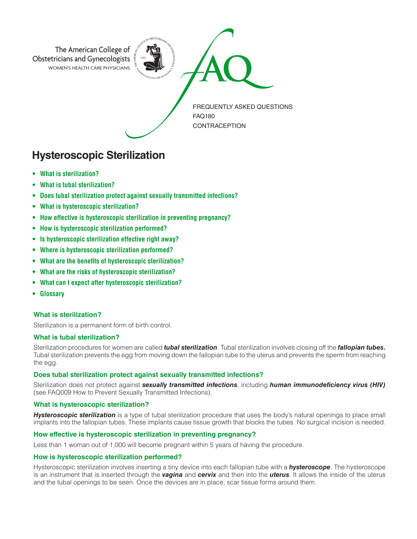

# **Hysteroscopic Sterilization**

- **• What is sterilization?**
- **• What is tubal sterilization?**
- **• Does tubal sterilization protect against sexually transmitted infections?**
- **• What is hysteroscopic sterilization?**
- **• How effective is hysteroscopic sterilization in preventing pregnancy?**
- **• How is hysteroscopic sterilization performed?**
- **• Is hysteroscopic sterilization effective right away?**
- **• Where is hysteroscopic sterilization performed?**
- **• What are the benefits of hysteroscopic sterilization?**
- **• What are the risks of hysteroscopic sterilization?**
- **• What can I expect after hysteroscopic sterilization?**
- **• Glossary**

# **What is sterilization?**

Sterilization is a permanent form of birth control.

# **What is tubal sterilization?**

Sterilization procedures for women are called *tubal sterilization*. Tubal sterilization involves closing off the *fallopian tubes.* Tubal sterilization prevents the egg from moving down the fallopian tube to the uterus and prevents the sperm from reaching the egg.

# **Does tubal sterilization protect against sexually transmitted infections?**

Sterilization does not protect against *sexually transmitted infections*, including *human immunodeficiency virus (HIV)* (see FAQ009 How to Prevent Sexually Transmitted Infections).

# **What is hysteroscopic sterilization?**

*Hysteroscopic sterilization* is a type of tubal sterilization procedure that uses the body's natural openings to place small implants into the fallopian tubes. These implants cause tissue growth that blocks the tubes. No surgical incision is needed.

# **How effective is hysteroscopic sterilization in preventing pregnancy?**

Less than 1 woman out of 1,000 will become pregnant within 5 years of having the procedure.

#### **How is hysteroscopic sterilization performed?**

Hysteroscopic sterilization involves inserting a tiny device into each fallopian tube with a *hysteroscope*. The hysteroscope is an instrument that is inserted through the *vagina* and *cervix* and then into the *uterus*. It allows the inside of the uterus and the tubal openings to be seen. Once the devices are in place, scar tissue forms around them.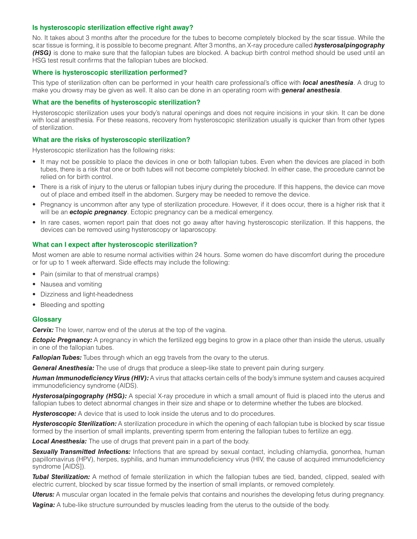## **Is hysteroscopic sterilization effective right away?**

No. It takes about 3 months after the procedure for the tubes to become completely blocked by the scar tissue. While the scar tissue is forming, it is possible to become pregnant. After 3 months, an X-ray procedure called *hysterosalpingography (HSG)* is done to make sure that the fallopian tubes are blocked. A backup birth control method should be used until an HSG test result confirms that the fallopian tubes are blocked.

## **Where is hysteroscopic sterilization performed?**

This type of sterilization often can be performed in your health care professional's office with *local anesthesia*. A drug to make you drowsy may be given as well. It also can be done in an operating room with *general anesthesia*.

#### **What are the benefits of hysteroscopic sterilization?**

Hysteroscopic sterilization uses your body's natural openings and does not require incisions in your skin. It can be done with local anesthesia. For these reasons, recovery from hysteroscopic sterilization usually is quicker than from other types of sterilization.

## **What are the risks of hysteroscopic sterilization?**

Hysteroscopic sterilization has the following risks:

- It may not be possible to place the devices in one or both fallopian tubes. Even when the devices are placed in both tubes, there is a risk that one or both tubes will not become completely blocked. In either case, the procedure cannot be relied on for birth control.
- There is a risk of injury to the uterus or fallopian tubes injury during the procedure. If this happens, the device can move out of place and embed itself in the abdomen. Surgery may be needed to remove the device.
- Pregnancy is uncommon after any type of sterilization procedure. However, if it does occur, there is a higher risk that it will be an *ectopic pregnancy*. Ectopic pregnancy can be a medical emergency.
- In rare cases, women report pain that does not go away after having hysteroscopic sterilization. If this happens, the devices can be removed using hysteroscopy or laparoscopy.

#### **What can I expect after hysteroscopic sterilization?**

Most women are able to resume normal activities within 24 hours. Some women do have discomfort during the procedure or for up to 1 week afterward. Side effects may include the following:

- Pain (similar to that of menstrual cramps)
- Nausea and vomiting
- Dizziness and light-headedness
- Bleeding and spotting

# **Glossary**

**Cervix:** The lower, narrow end of the uterus at the top of the vagina.

**Ectopic Pregnancy:** A pregnancy in which the fertilized egg begins to grow in a place other than inside the uterus, usually in one of the fallopian tubes.

*Fallopian Tubes:* Tubes through which an egg travels from the ovary to the uterus.

*General Anesthesia:* The use of drugs that produce a sleep-like state to prevent pain during surgery.

*Human Immunodeficiency Virus (HIV):* A virus that attacks certain cells of the body's immune system and causes acquired immunodeficiency syndrome (AIDS).

*Hysterosalpingography (HSG):* A special X-ray procedure in which a small amount of fluid is placed into the uterus and fallopian tubes to detect abnormal changes in their size and shape or to determine whether the tubes are blocked.

**Hysteroscope:** A device that is used to look inside the uterus and to do procedures.

*Hysteroscopic Sterilization:* A sterilization procedure in which the opening of each fallopian tube is blocked by scar tissue formed by the insertion of small implants, preventing sperm from entering the fallopian tubes to fertilize an egg.

*Local Anesthesia:* The use of drugs that prevent pain in a part of the body.

**Sexually Transmitted Infections:** Infections that are spread by sexual contact, including chlamydia, gonorrhea, human papillomavirus (HPV), herpes, syphilis, and human immunodeficiency virus (HIV, the cause of acquired immunodeficiency syndrome [AIDS]).

*Tubal Sterilization:* A method of female sterilization in which the fallopian tubes are tied, banded, clipped, sealed with electric current, blocked by scar tissue formed by the insertion of small implants, or removed completely.

*Uterus:* A muscular organ located in the female pelvis that contains and nourishes the developing fetus during pregnancy.

**Vagina:** A tube-like structure surrounded by muscles leading from the uterus to the outside of the body.